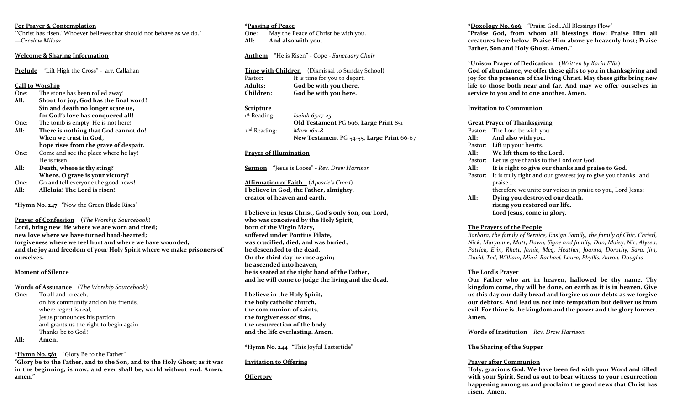#### **For Prayer & Contemplation**

"'Christ has risen.' Whoever believes that should not behave as we do." —*Czeslaw Milosz*

#### **Welcome & Sharing Information**

**Prelude** "Lift High the Cross" - arr. Callahan

#### **Call to Worship**

- One: The stone has been rolled away! **All: Shout for joy, God has the final word! Sin and death no longer scare us, for God's love has conquered all!**
- One: The tomb is empty! He is not here! **All: There is nothing that God cannot do!**
- **When we trust in God, hope rises from the grave of despair.** One: Come and see the place where he lay!
- He is risen!
- **All: Death, where is thy sting? Where, O grave is your victory?**
- One: Go and tell everyone the good news!
- **All: Alleluia! The Lord is risen!**

**\*Hymn No. 247** "Now the Green Blade Rises"

**Prayer of Confession** (*The Worship Sourcebook*) **Lord, bring new life where we are worn and tired; new love where we have turned hard-hearted; forgiveness where we feel hurt and where we have wounded; and the joy and freedom of your Holy Spirit where we make prisoners of ourselves.**

## **Moment of Silence**

**Words of Assurance** (*The Worship Sourcebook*) One: To all and to each, on his community and on his friends, where regret is real, Jesus pronounces his pardon and grants us the right to begin again. Thanks be to God!

# **All: Amen.**

**\*Hymn No. 581** "Glory Be to the Father"

**"Glory be to the Father, and to the Son, and to the Holy Ghost; as it was in the beginning, is now, and ever shall be, world without end. Amen, amen."**

#### **\*Passing of Peace**

One: May the Peace of Christ be with you. **All: And also with you.** 

**Anthem** "He is Risen" - Cope - *Sanctuary Choir*

|                  | <b>Time with Children</b> (Dismissal to Sunday School) |
|------------------|--------------------------------------------------------|
| Pastor:          | It is time for you to depart.                          |
| <b>Adults:</b>   | God be with you there.                                 |
| <b>Children:</b> | God be with you here.                                  |

## **Scripture**

| 1st Reading:   | <i>Isaiah</i> $65:17-25$                  |
|----------------|-------------------------------------------|
|                | Old Testament PG 696, Large Print 851     |
| $2nd$ Reading: | Mark 16:1-8                               |
|                | New Testament PG 54-55, Large Print 66-67 |

## **Prayer of Illumination**

**Sermon** "Jesus is Loose" **-** *Rev. Drew Harrison*

**Affirmation of Faith** (*Apostle's Creed*) **I believe in God, the Father, almighty, creator of heaven and earth.** 

**I believe in Jesus Christ, God's only Son, our Lord, who was conceived by the Holy Spirit, born of the Virgin Mary, suffered under Pontius Pilate, was crucified, died, and was buried; he descended to the dead. On the third day he rose again; he ascended into heaven, he is seated at the right hand of the Father, and he will come to judge the living and the dead.** 

**I believe in the Holy Spirit, the holy catholic church, the communion of saints, the forgiveness of sins, the resurrection of the body, and the life everlasting. Amen.** 

**\*Hymn No. 244** "This Joyful Eastertide"

## **Invitation to Offering**

**Offertory**

**\*Doxology No. 606** "Praise God…All Blessings Flow" **"Praise God, from whom all blessings flow; Praise Him all creatures here below. Praise Him above ye heavenly host; Praise Father, Son and Holy Ghost. Amen."**

\***Unison Prayer of Dedication** (*Written by Karin Ellis*)

**God of abundance, we offer these gifts to you in thanksgiving and joy for the presence of the living Christ. May these gifts bring new life to those both near and far. And may we offer ourselves in service to you and to one another. Amen.** 

## **Invitation to Communion**

#### **Great Prayer of Thanksgiving**

Pastor: The Lord be with you. **All: And also with you.**  Pastor: Lift up your hearts. **All: We lift them to the Lord.** Pastor: Let us give thanks to the Lord our God. **All: It is right to give our thanks and praise to God.** Pastor: It is truly right and our greatest joy to give you thanks and praise… therefore we unite our voices in praise to you, Lord Jesus: **All: Dying you destroyed our death, rising you restored our life. Lord Jesus, come in glory.** 

## **The Prayers of the People**

*Barbara, the family of Bernice, Ensign Family, the family of Chic, Christl, Nick, Maryanne, Matt, Dawn, Signe and family, Dan, Maisy, Nic, Alyssa, Patrick, Erin, Rhett, Jamie, Meg, Heather, Joanna, Dorothy, Sara, Jim, David, Ted, William, Mimi, Rachael, Laura, Phyllis, Aaron, Douglas* 

# **The Lord's Prayer**

**Our Father who art in heaven, hallowed be thy name. Thy kingdom come, thy will be done, on earth as it is in heaven. Give us this day our daily bread and forgive us our debts as we forgive our debtors. And lead us not into temptation but deliver us from evil. For thine is the kingdom and the power and the glory forever. Amen.**

**Words of Institution** *Rev. Drew Harrison*

## **The Sharing of the Supper**

## **Prayer after Communion**

**Holy, gracious God. We have been fed with your Word and filled with your Spirit. Send us out to bear witness to your resurrection happening among us and proclaim the good news that Christ has risen. Amen.**